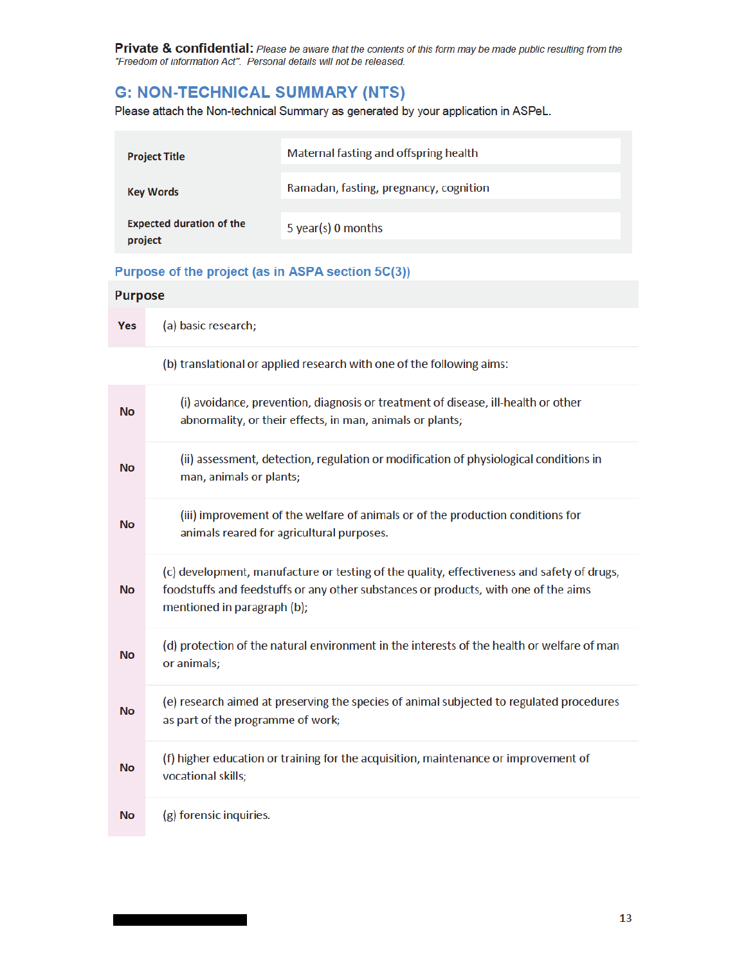# **G: NON-TECHNICAL SUMMARY (NTS)**

Please attach the Non-technical Summary as generated by your application in ASPeL.

| <b>Project Title</b>                       | Maternal fasting and offspring health  |
|--------------------------------------------|----------------------------------------|
| <b>Key Words</b>                           | Ramadan, fasting, pregnancy, cognition |
| <b>Expected duration of the</b><br>project | 5 year(s) 0 months                     |

### Purpose of the project (as in ASPA section 5C(3))

|            | <b>Purpose</b>                                                                                                                                                                                                   |  |
|------------|------------------------------------------------------------------------------------------------------------------------------------------------------------------------------------------------------------------|--|
| <b>Yes</b> | (a) basic research;                                                                                                                                                                                              |  |
|            | (b) translational or applied research with one of the following aims:                                                                                                                                            |  |
| No         | (i) avoidance, prevention, diagnosis or treatment of disease, ill-health or other<br>abnormality, or their effects, in man, animals or plants;                                                                   |  |
| No         | (ii) assessment, detection, regulation or modification of physiological conditions in<br>man, animals or plants;                                                                                                 |  |
| No         | (iii) improvement of the welfare of animals or of the production conditions for<br>animals reared for agricultural purposes.                                                                                     |  |
| <b>No</b>  | (c) development, manufacture or testing of the quality, effectiveness and safety of drugs,<br>foodstuffs and feedstuffs or any other substances or products, with one of the aims<br>mentioned in paragraph (b); |  |
| No         | (d) protection of the natural environment in the interests of the health or welfare of man<br>or animals;                                                                                                        |  |
| <b>No</b>  | (e) research aimed at preserving the species of animal subjected to regulated procedures<br>as part of the programme of work;                                                                                    |  |
| No         | (f) higher education or training for the acquisition, maintenance or improvement of<br>vocational skills;                                                                                                        |  |
| No         | (g) forensic inquiries.                                                                                                                                                                                          |  |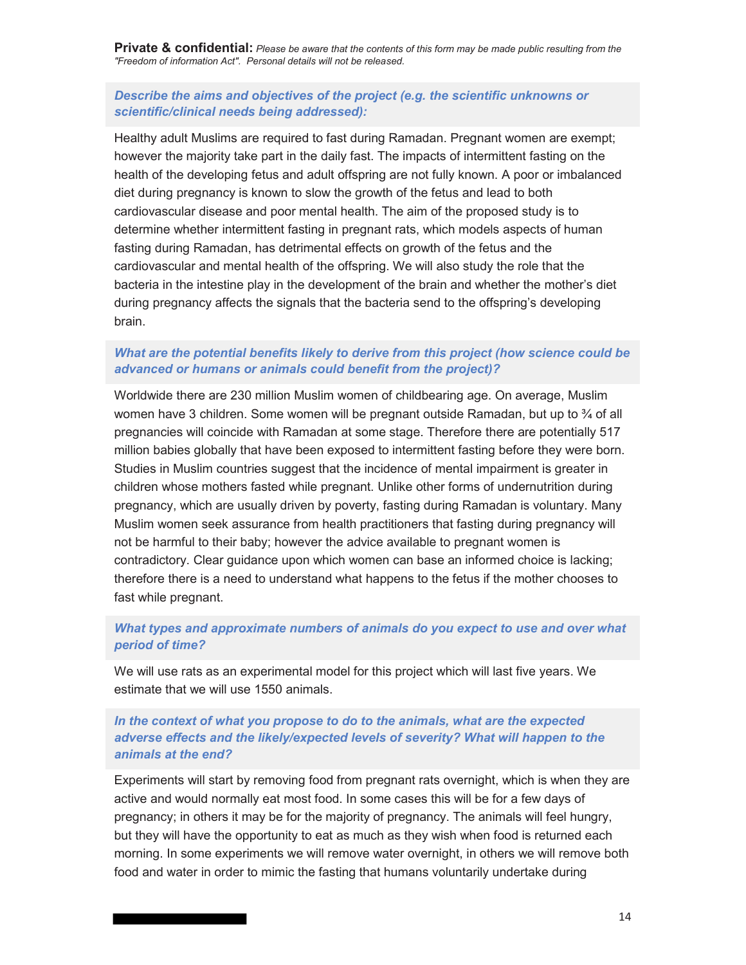### *Describe the aims and objectives of the project (e.g. the scientific unknowns or scientific/clinical needs being addressed):*

Healthy adult Muslims are required to fast during Ramadan. Pregnant women are exempt; however the majority take part in the daily fast. The impacts of intermittent fasting on the health of the developing fetus and adult offspring are not fully known. A poor or imbalanced diet during pregnancy is known to slow the growth of the fetus and lead to both cardiovascular disease and poor mental health. The aim of the proposed study is to determine whether intermittent fasting in pregnant rats, which models aspects of human fasting during Ramadan, has detrimental effects on growth of the fetus and the cardiovascular and mental health of the offspring. We will also study the role that the bacteria in the intestine play in the development of the brain and whether the mother's diet during pregnancy affects the signals that the bacteria send to the offspring's developing brain.

### *What are the potential benefits likely to derive from this project (how science could be advanced or humans or animals could benefit from the project)?*

Worldwide there are 230 million Muslim women of childbearing age. On average, Muslim women have 3 children. Some women will be pregnant outside Ramadan, but up to  $\frac{3}{4}$  of all pregnancies will coincide with Ramadan at some stage. Therefore there are potentially 517 million babies globally that have been exposed to intermittent fasting before they were born. Studies in Muslim countries suggest that the incidence of mental impairment is greater in children whose mothers fasted while pregnant. Unlike other forms of undernutrition during pregnancy, which are usually driven by poverty, fasting during Ramadan is voluntary. Many Muslim women seek assurance from health practitioners that fasting during pregnancy will not be harmful to their baby; however the advice available to pregnant women is contradictory. Clear guidance upon which women can base an informed choice is lacking; therefore there is a need to understand what happens to the fetus if the mother chooses to fast while pregnant.

### *What types and approximate numbers of animals do you expect to use and over what period of time?*

We will use rats as an experimental model for this project which will last five years. We estimate that we will use 1550 animals.

## *In the context of what you propose to do to the animals, what are the expected adverse effects and the likely/expected levels of severity? What will happen to the animals at the end?*

Experiments will start by removing food from pregnant rats overnight, which is when they are active and would normally eat most food. In some cases this will be for a few days of pregnancy; in others it may be for the majority of pregnancy. The animals will feel hungry, but they will have the opportunity to eat as much as they wish when food is returned each morning. In some experiments we will remove water overnight, in others we will remove both food and water in order to mimic the fasting that humans voluntarily undertake during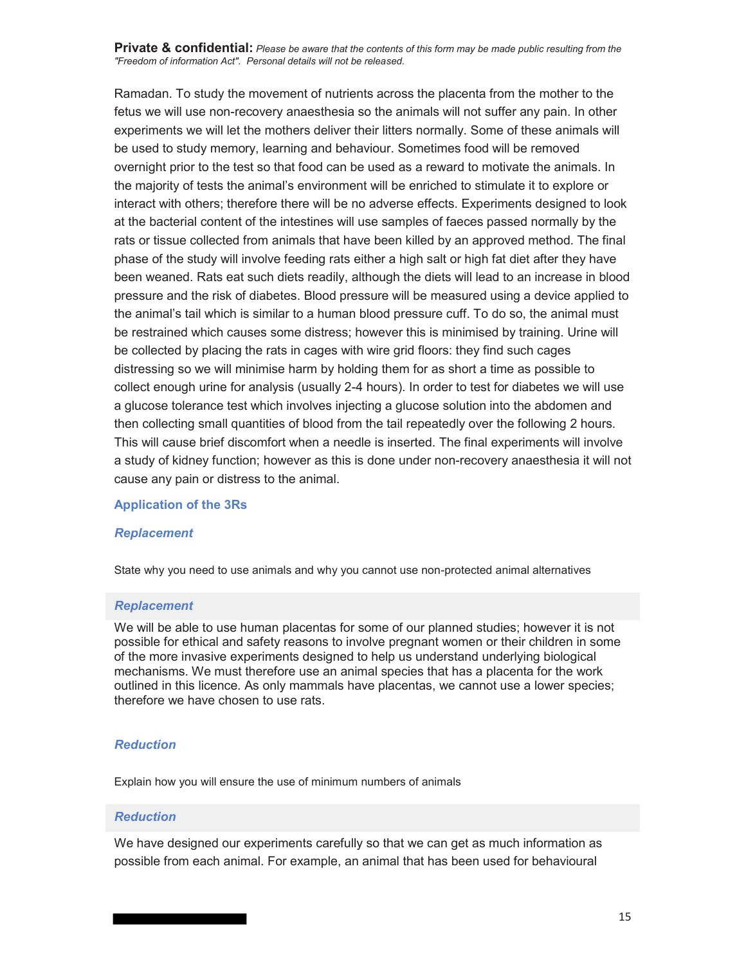Ramadan. To study the movement of nutrients across the placenta from the mother to the fetus we will use non-recovery anaesthesia so the animals will not suffer any pain. In other experiments we will let the mothers deliver their litters normally. Some of these animals will be used to study memory, learning and behaviour. Sometimes food will be removed overnight prior to the test so that food can be used as a reward to motivate the animals. In the majority of tests the animal's environment will be enriched to stimulate it to explore or interact with others; therefore there will be no adverse effects. Experiments designed to look at the bacterial content of the intestines will use samples of faeces passed normally by the rats or tissue collected from animals that have been killed by an approved method. The final phase of the study will involve feeding rats either a high salt or high fat diet after they have been weaned. Rats eat such diets readily, although the diets will lead to an increase in blood pressure and the risk of diabetes. Blood pressure will be measured using a device applied to the animal's tail which is similar to a human blood pressure cuff. To do so, the animal must be restrained which causes some distress; however this is minimised by training. Urine will be collected by placing the rats in cages with wire grid floors: they find such cages distressing so we will minimise harm by holding them for as short a time as possible to collect enough urine for analysis (usually 2-4 hours). In order to test for diabetes we will use a glucose tolerance test which involves injecting a glucose solution into the abdomen and then collecting small quantities of blood from the tail repeatedly over the following 2 hours. This will cause brief discomfort when a needle is inserted. The final experiments will involve a study of kidney function; however as this is done under non-recovery anaesthesia it will not cause any pain or distress to the animal.

#### **Application of the 3Rs**

#### *Replacement*

State why you need to use animals and why you cannot use non-protected animal alternatives

#### *Replacement*

We will be able to use human placentas for some of our planned studies; however it is not possible for ethical and safety reasons to involve pregnant women or their children in some of the more invasive experiments designed to help us understand underlying biological mechanisms. We must therefore use an animal species that has a placenta for the work outlined in this licence. As only mammals have placentas, we cannot use a lower species; therefore we have chosen to use rats.

### *Reduction*

Explain how you will ensure the use of minimum numbers of animals

#### *Reduction*

We have designed our experiments carefully so that we can get as much information as possible from each animal. For example, an animal that has been used for behavioural